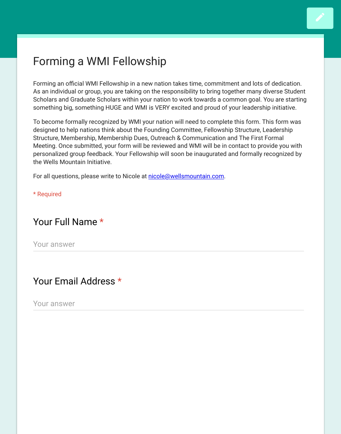#### Forming a WMI Fellowship

Forming an official WMI Fellowship in a new nation takes time, commitment and lots of dedica As an individual or group, you are taking on the responsibility to bring together many diverse St Scholars and Graduate Scholars within your nation to work towards a common goal. You are starting something big, something HUGE and WMI is VERY excited and proud of your leadership initiati

To become formally recognized by WMI your nation will need to complete this form. This form designed to help nations think about the Founding Committee, Fellowship Structure, Leadershi Structure, Membership, Membership Dues, Outreach & Communication and The First Formal Meeting. Once submitted, your form will be reviewed and WMI will be in contact to provide you personalized group feedback. Your Fellowship will soon be inaugurated and formally recognize the Wells Mountain Initiative.

For all questions, please write to Nicole at nicole@wellsmountain.com.

\* Required

### Your Full Name \*

Your answer

## Your Email Address \*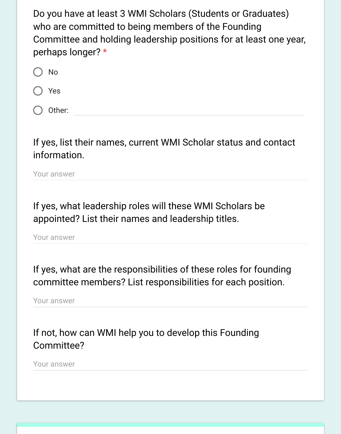Do you have at least 3 WMI Scholars (Students or Graduates) who are committed to being members of the Founding Committee and holding leadership positions for at least one year, perhaps longer? \*

- $\bigcap$  No
- Yes
- ( ) Other:

# If yes, list their names, current WMI Scholar status and contact information.

Your answer

If yes, what leadership roles will these WMI Scholars be appointed? List their names and leadership titles.

Your answer

If yes, what are the responsibilities of these roles for founding committee members? List responsibilities for each position.

Your answer

If not, how can WMI help you to develop this Founding Committee?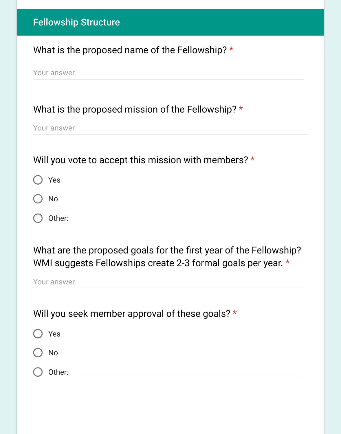## What is the proposed name of the Fellowship? \*

Your answer

### What is the proposed mission of the Fellowship? \*

Your answer

## Will you vote to accept this mission with members? \*

|  | Yes |
|--|-----|
|--|-----|

No

Other:

# What are the proposed goals for the first year of the Fellowship? WMI suggests Fellowships create 2-3 formal goals per year. \*

Your answer

# Will you seek member approval of these goals? \*

| O Yes             |  |  |  |
|-------------------|--|--|--|
| $\bigcirc$ No     |  |  |  |
| $\bigcirc$ Other: |  |  |  |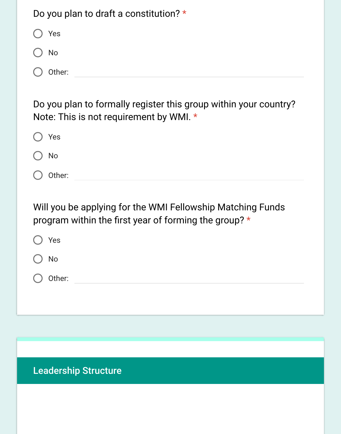| Do you plan to draft a constitution? * |
|----------------------------------------|
| Yes<br>$\overline{C}$                  |
| $()$ No                                |
| Other:<br>$\left($                     |
|                                        |

Do you plan to formally register this group within your country? Note: This is not requirement by WMI. \*

| Yes                                                                                                                 |
|---------------------------------------------------------------------------------------------------------------------|
| <b>No</b>                                                                                                           |
| Other:                                                                                                              |
| Will you be applying for the WMI Fellowship Matching Funds<br>program within the first year of forming the group? * |
| Yes                                                                                                                 |
| <b>No</b>                                                                                                           |
| Other:                                                                                                              |
|                                                                                                                     |

Leadership Structure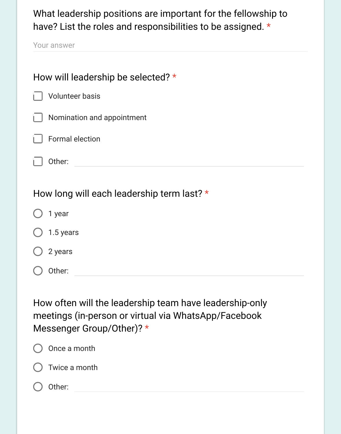What leadership positions are important for the fellowship to have? List the roles and responsibilities to be assigned. \*

| How will leadership be selected? *                                                                                                           |  |  |  |  |
|----------------------------------------------------------------------------------------------------------------------------------------------|--|--|--|--|
| <b>Volunteer basis</b>                                                                                                                       |  |  |  |  |
| Nomination and appointment                                                                                                                   |  |  |  |  |
| <b>Formal election</b>                                                                                                                       |  |  |  |  |
| Other:                                                                                                                                       |  |  |  |  |
| How long will each leadership term last? *                                                                                                   |  |  |  |  |
| 1 year                                                                                                                                       |  |  |  |  |
| 1.5 years                                                                                                                                    |  |  |  |  |
| 2 years                                                                                                                                      |  |  |  |  |
| Other:                                                                                                                                       |  |  |  |  |
| How often will the leadership team have leadership-only<br>meetings (in-person or virtual via WhatsApp/Facebook<br>Messenger Group/Other)? * |  |  |  |  |

| () Once a month          |
|--------------------------|
| $\bigcirc$ Twice a month |
| ( ) Other:               |
|                          |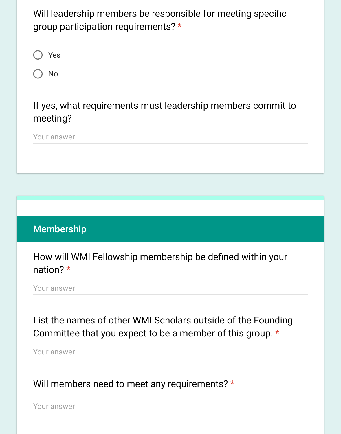Will leadership members be responsible for meeting specific group participation requirements? \*



No

If yes, what requirements must leadership members commit to meeting?

Your answer

# **Membership**

How will WMI Fellowship membership be defined within your nation? \*

Your answer

List the names of other WMI Scholars outside of the Founding Committee that you expect to be a member of this group. \*

Your answer

Will members need to meet any requirements? \*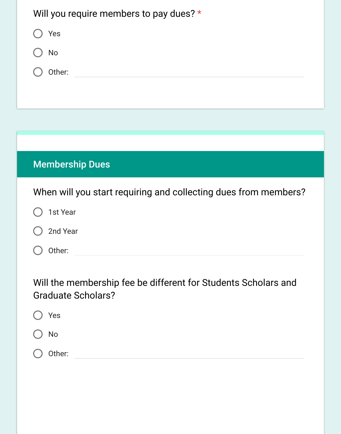| Will you require members to pay dues? *                         |
|-----------------------------------------------------------------|
| Yes                                                             |
| <b>No</b>                                                       |
| Other:                                                          |
|                                                                 |
|                                                                 |
|                                                                 |
| <b>Membership Dues</b>                                          |
| When will you start requiring and collecting dues from members? |

1st Year

2nd Year

O Other:

Will the membership fee be different for Students Scholars and Graduate Scholars?

| Yes       |  |
|-----------|--|
| <b>No</b> |  |

 $\bigcirc$  Other: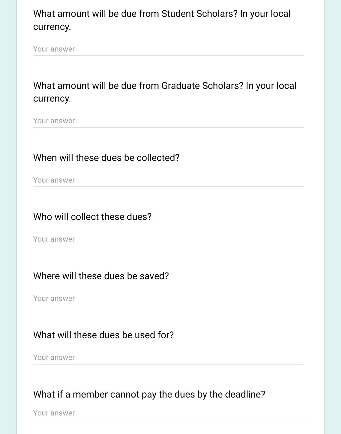# What amount will be due from Student Scholars? In your local currency.

Your answer

# What amount will be due from Graduate Scholars? In your local currency.

Your answer

## When will these dues be collected?

Your answer

## Who will collect these dues?

Your answer

### Where will these dues be saved?

Your answer

## What will these dues be used for?

Your answer

# What if a member cannot pay the dues by the deadline?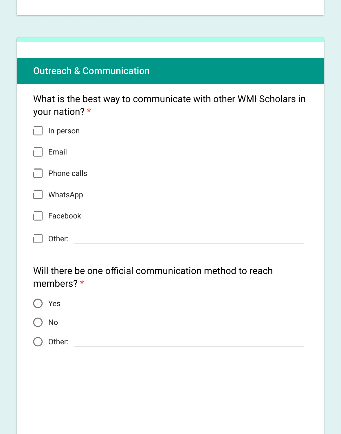# Outreach & Communication

What is the best way to communicate with other WMI Scholars in your nation? \*

| L. | In-person   |
|----|-------------|
| L. | Email       |
| L. | Phone calls |
| L. | WhatsApp    |
| L. | Facebook    |
|    | Other:      |

Will there be one official communication method to reach members? \*

| ◯ Yes         |  |  |  |
|---------------|--|--|--|
| $\bigcirc$ No |  |  |  |
| O Other:      |  |  |  |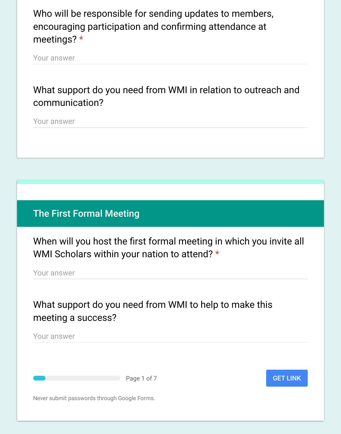Who will be responsible for sending updates to members, encouraging participation and confirming attendance at meetings? \*

Your answer

What support do you need from WMI in relation to outreach and communication?

Your answer

The First Formal Meeting

When will you host the first formal meeting in which you invite all WMI Scholars within your nation to attend? \*

Your answer

What support do you need from WMI to help to make this meeting a success?

Your answer

Page 1 of 7

#### GET LINK

Never submit passwords through Google Forms.